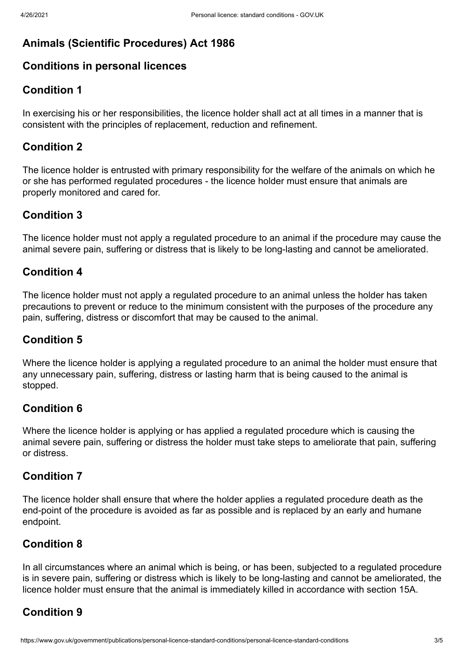# **Animals (Scientific Procedures) Act 1986**

### **Conditions in personal licences**

## **Condition 1**

In exercising his or her responsibilities, the licence holder shall act at all times in a manner that is consistent with the principles of replacement, reduction and refinement.

#### **Condition 2**

The licence holder is entrusted with primary responsibility for the welfare of the animals on which he or she has performed regulated procedures - the licence holder must ensure that animals are properly monitored and cared for.

### **Condition 3**

The licence holder must not apply a regulated procedure to an animal if the procedure may cause the animal severe pain, suffering or distress that is likely to be long-lasting and cannot be ameliorated.

### **Condition 4**

The licence holder must not apply a regulated procedure to an animal unless the holder has taken precautions to prevent or reduce to the minimum consistent with the purposes of the procedure any pain, suffering, distress or discomfort that may be caused to the animal.

### **Condition 5**

Where the licence holder is applying a regulated procedure to an animal the holder must ensure that any unnecessary pain, suffering, distress or lasting harm that is being caused to the animal is stopped.

### **Condition 6**

Where the licence holder is applying or has applied a regulated procedure which is causing the animal severe pain, suffering or distress the holder must take steps to ameliorate that pain, suffering or distress.

#### **Condition 7**

The licence holder shall ensure that where the holder applies a regulated procedure death as the end-point of the procedure is avoided as far as possible and is replaced by an early and humane endpoint.

### **Condition 8**

In all circumstances where an animal which is being, or has been, subjected to a regulated procedure is in severe pain, suffering or distress which is likely to be long-lasting and cannot be ameliorated, the licence holder must ensure that the animal is immediately killed in accordance with section 15A.

## **Condition 9**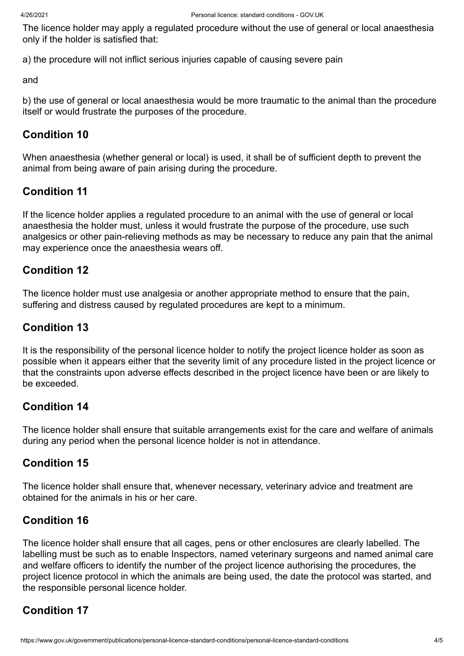The licence holder may apply a regulated procedure without the use of general or local anaesthesia only if the holder is satisfied that:

a) the procedure will not inflict serious injuries capable of causing severe pain

and

b) the use of general or local anaesthesia would be more traumatic to the animal than the procedure itself or would frustrate the purposes of the procedure.

### **Condition 10**

When anaesthesia (whether general or local) is used, it shall be of sufficient depth to prevent the animal from being aware of pain arising during the procedure.

### **Condition 11**

If the licence holder applies a regulated procedure to an animal with the use of general or local anaesthesia the holder must, unless it would frustrate the purpose of the procedure, use such analgesics or other pain-relieving methods as may be necessary to reduce any pain that the animal may experience once the anaesthesia wears off.

### **Condition 12**

The licence holder must use analgesia or another appropriate method to ensure that the pain, suffering and distress caused by regulated procedures are kept to a minimum.

### **Condition 13**

It is the responsibility of the personal licence holder to notify the project licence holder as soon as possible when it appears either that the severity limit of any procedure listed in the project licence or that the constraints upon adverse effects described in the project licence have been or are likely to be exceeded.

### **Condition 14**

The licence holder shall ensure that suitable arrangements exist for the care and welfare of animals during any period when the personal licence holder is not in attendance.

### **Condition 15**

The licence holder shall ensure that, whenever necessary, veterinary advice and treatment are obtained for the animals in his or her care.

### **Condition 16**

The licence holder shall ensure that all cages, pens or other enclosures are clearly labelled. The labelling must be such as to enable Inspectors, named veterinary surgeons and named animal care and welfare officers to identify the number of the project licence authorising the procedures, the project licence protocol in which the animals are being used, the date the protocol was started, and the responsible personal licence holder.

## **Condition 17**